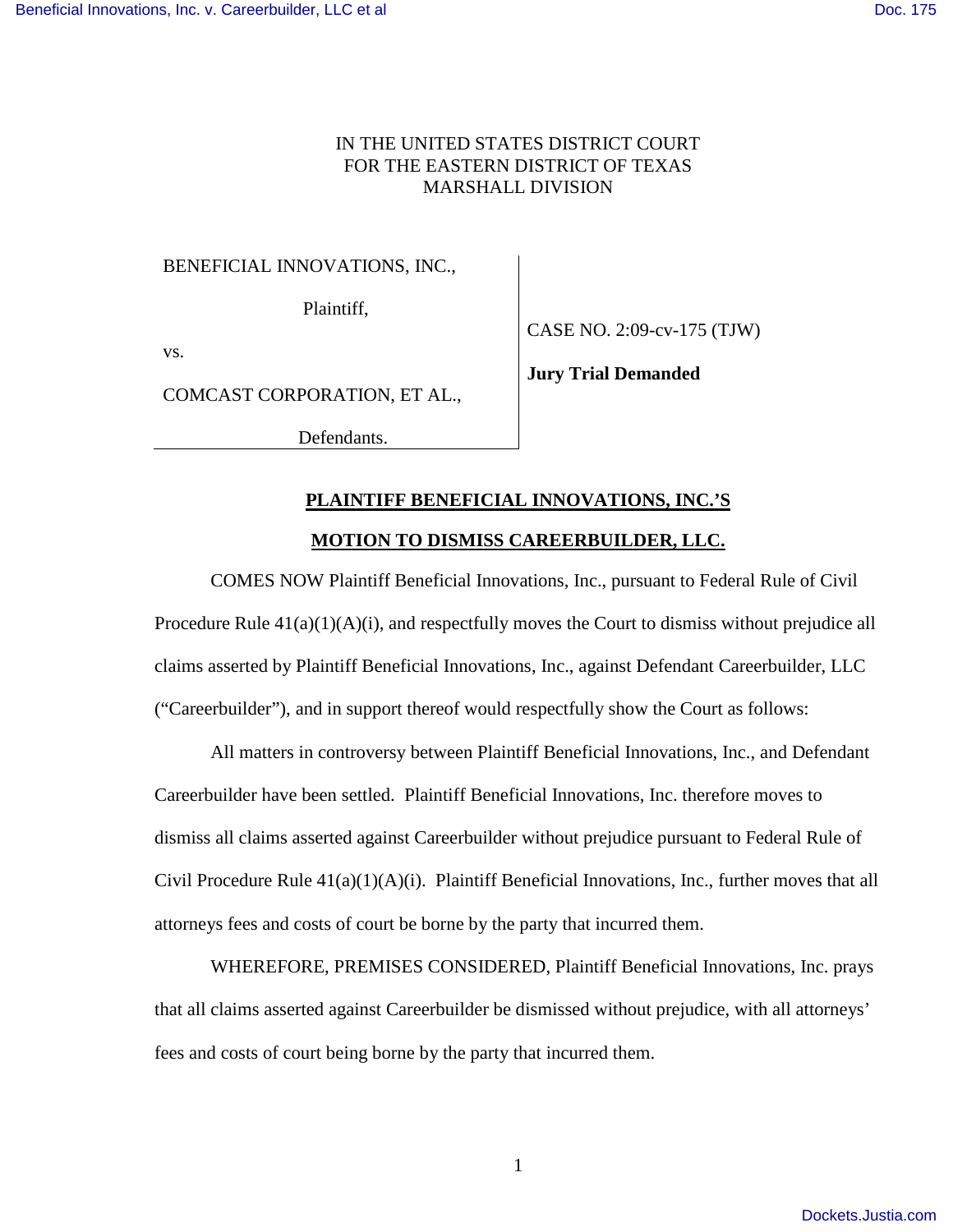## IN THE UNITED STATES DISTRICT COURT FOR THE EASTERN DISTRICT OF TEXAS MARSHALL DIVISION

BENEFICIAL INNOVATIONS, INC.,

Plaintiff,

vs.

CASE NO. 2:09-cv-175 (TJW)

COMCAST CORPORATION, ET AL.,

Defendants.

**Jury Trial Demanded**

## **PLAINTIFF BENEFICIAL INNOVATIONS, INC.'S**

## **MOTION TO DISMISS CAREERBUILDER, LLC.**

COMES NOW Plaintiff Beneficial Innovations, Inc., pursuant to Federal Rule of Civil Procedure Rule  $41(a)(1)(A)(i)$ , and respectfully moves the Court to dismiss without prejudice all claims asserted by Plaintiff Beneficial Innovations, Inc., against Defendant Careerbuilder, LLC ("Careerbuilder"), and in support thereof would respectfully show the Court as follows:

All matters in controversy between Plaintiff Beneficial Innovations, Inc., and Defendant Careerbuilder have been settled. Plaintiff Beneficial Innovations, Inc. therefore moves to dismiss all claims asserted against Careerbuilder without prejudice pursuant to Federal Rule of Civil Procedure Rule 41(a)(1)(A)(i). Plaintiff Beneficial Innovations, Inc., further moves that all attorneys fees and costs of court be borne by the party that incurred them.

WHEREFORE, PREMISES CONSIDERED, Plaintiff Beneficial Innovations, Inc. prays that all claims asserted against Careerbuilder be dismissed without prejudice, with all attorneys' fees and costs of court being borne by the party that incurred them.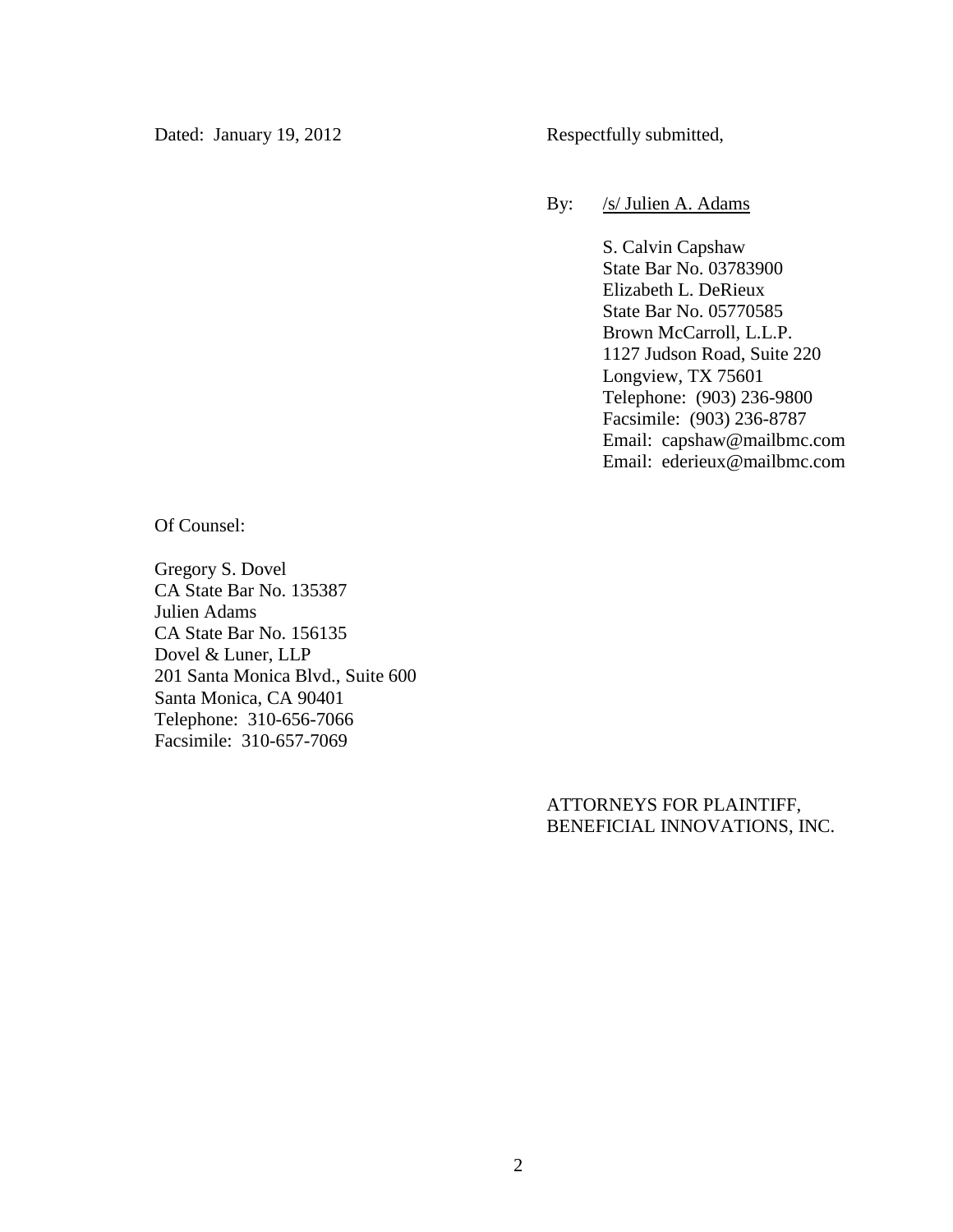Dated: January 19, 2012 Respectfully submitted,

By: /s/ Julien A. Adams

S. Calvin Capshaw State Bar No. 03783900 Elizabeth L. DeRieux State Bar No. 05770585 Brown McCarroll, L.L.P. 1127 Judson Road, Suite 220 Longview, TX 75601 Telephone: (903) 236-9800 Facsimile: (903) 236-8787 Email: capshaw@mailbmc.com Email: ederieux@mailbmc.com

Of Counsel:

Gregory S. Dovel CA State Bar No. 135387 Julien Adams CA State Bar No. 156135 Dovel & Luner, LLP 201 Santa Monica Blvd., Suite 600 Santa Monica, CA 90401 Telephone: 310-656-7066 Facsimile: 310-657-7069

> ATTORNEYS FOR PLAINTIFF, BENEFICIAL INNOVATIONS, INC.